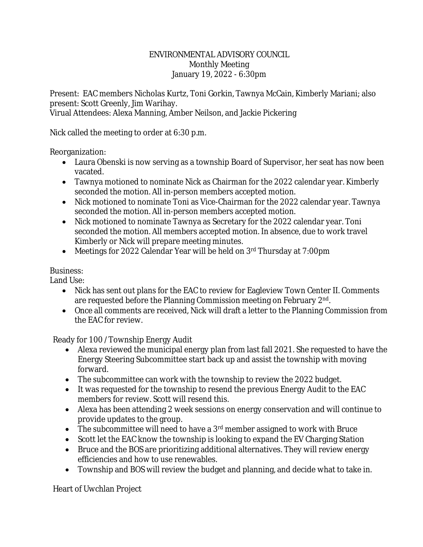## ENVIRONMENTAL ADVISORY COUNCIL Monthly Meeting January 19, 2022 - 6:30pm

Present: EAC members Nicholas Kurtz, Toni Gorkin, Tawnya McCain, Kimberly Mariani; also present: Scott Greenly, Jim Warihay.

Virual Attendees: Alexa Manning, Amber Neilson, and Jackie Pickering

Nick called the meeting to order at 6:30 p.m.

Reorganization:

- Laura Obenski is now serving as a township Board of Supervisor, her seat has now been vacated.
- Tawnya motioned to nominate Nick as Chairman for the 2022 calendar year. Kimberly seconded the motion. All in-person members accepted motion.
- Nick motioned to nominate Toni as Vice-Chairman for the 2022 calendar year. Tawnya seconded the motion. All in-person members accepted motion.
- Nick motioned to nominate Tawnya as Secretary for the 2022 calendar year. Toni seconded the motion. All members accepted motion. In absence, due to work travel Kimberly or Nick will prepare meeting minutes.
- Meetings for 2022 Calendar Year will be held on 3<sup>rd</sup> Thursday at 7:00pm

## Business:

Land Use:

- Nick has sent out plans for the EAC to review for Eagleview Town Center II. Comments are requested before the Planning Commission meeting on February 2<sup>nd</sup>.
- Once all comments are received, Nick will draft a letter to the Planning Commission from the EAC for review.

Ready for 100 /Township Energy Audit

- Alexa reviewed the municipal energy plan from last fall 2021. She requested to have the Energy Steering Subcommittee start back up and assist the township with moving forward.
- The subcommittee can work with the township to review the 2022 budget.
- It was requested for the township to resend the previous Energy Audit to the EAC members for review. Scott will resend this.
- Alexa has been attending 2 week sessions on energy conservation and will continue to provide updates to the group.
- The subcommittee will need to have a  $3<sup>rd</sup>$  member assigned to work with Bruce
- Scott let the EAC know the township is looking to expand the EV Charging Station
- Bruce and the BOS are prioritizing additional alternatives. They will review energy efficiencies and how to use renewables.
- Township and BOS will review the budget and planning, and decide what to take in.

Heart of Uwchlan Project